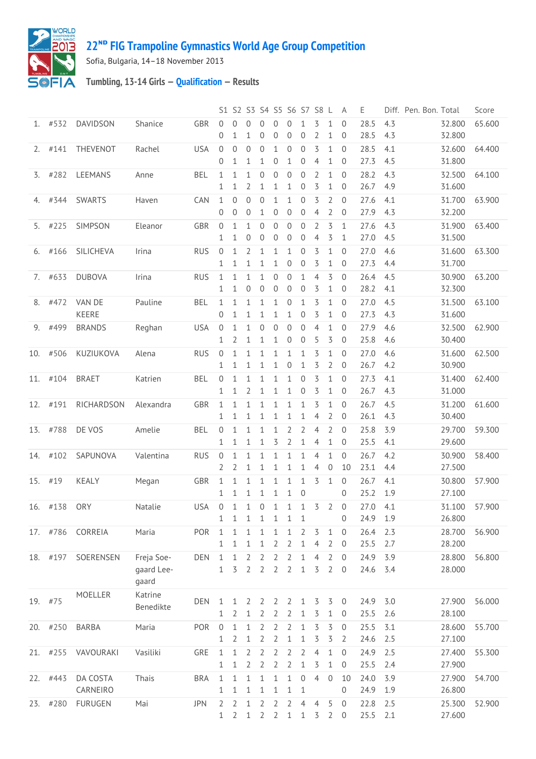

## **ᴺᴰ [FIG Trampoline Gymnastics World Age Group Competition](http://192.168.1.7:9001/event)**

Sofia, Bulgaria, 14–18 November 2013

## **Tumbling, 13-14 Girls — [Qualification](http://192.168.1.7:9001/stage/30) — Results**

|     |            |                        |                                   |            |                                |                                  | S1 S2 S3 S4 S5 S6 S7 S8 L |                              |                                  |                                  |                                    |                                  |                                  | A                                | Ε            |            | Diff. Pen. Bon. Total |                  | Score  |
|-----|------------|------------------------|-----------------------------------|------------|--------------------------------|----------------------------------|---------------------------|------------------------------|----------------------------------|----------------------------------|------------------------------------|----------------------------------|----------------------------------|----------------------------------|--------------|------------|-----------------------|------------------|--------|
|     | $1.$ #532  | <b>DAVIDSON</b>        | Shanice                           | GBR        | 0<br>0                         | 0<br>1                           | 0<br>1                    | $\Omega$<br>0                | $\Omega$<br>0                    | $\Omega$<br>$\mathbf 0$          | 1<br>$\boldsymbol{0}$              | 3<br>$\overline{2}$              | 1<br>1                           | $\Omega$<br>0                    | 28.5<br>28.5 | 4.3<br>4.3 |                       | 32.800<br>32.800 | 65.600 |
| 2.  | #141       | THEVENOT               | Rachel                            | <b>USA</b> | $\mathbf 0$<br>0               | $\overline{0}$<br>1              | 0<br>1                    | $\overline{0}$<br>1          | 1<br>0                           | $\mathbf{0}$<br>$\mathbf{1}$     | $\mathbf 0$<br>$\overline{0}$      | 3<br>$\overline{4}$              | 1<br>1                           | 0<br>0                           | 28.5<br>27.3 | 4.1<br>4.5 |                       | 32.600<br>31.800 | 64.400 |
| 3.  | #282       | LEEMANS                | Anne                              | <b>BEL</b> | $\mathbf{1}$<br>1              | $\mathbf{1}$<br>1                | $\mathbf{1}$<br>2         | $\mathbf 0$<br>1             | $\boldsymbol{0}$<br>1            | $\mathbf 0$<br>1                 | $\overline{0}$<br>$\overline{0}$   | $\overline{2}$<br>3              | $\mathbf{1}$<br>1                | $\mathbf{0}$<br>0                | 28.2<br>26.7 | 4.3<br>4.9 |                       | 32.500<br>31.600 | 64.100 |
| 4.  | #344       | SWARTS                 | Haven                             | CAN        | $\mathbf{1}$<br>0              | $\mathbf{0}$<br>$\overline{0}$   | $\overline{0}$<br>0       | $\mathbf 0$<br>1             | 1<br>0                           | $\mathbf{1}$<br>$\mathbf 0$      | $\boldsymbol{0}$<br>$\overline{0}$ | 3<br>$\overline{4}$              | 2<br>$\overline{2}$              | $\mathbf 0$<br>$\mathbf 0$       | 27.6<br>27.9 | 4.1<br>4.3 |                       | 31.700<br>32.200 | 63.900 |
| 5.  | #225       | SIMPSON                | Eleanor                           | <b>GBR</b> | $\mathbf 0$<br>1               | 1<br>1                           | 1<br>0                    | 0<br>0                       | 0<br>0                           | $\overline{0}$<br>$\overline{0}$ | $\overline{0}$<br>0                | $\overline{2}$<br>$\overline{4}$ | 3<br>3                           | 1<br>1                           | 27.6<br>27.0 | 4.3<br>4.5 |                       | 31.900<br>31.500 | 63.400 |
| 6.  | #166       | SILICHEVA              | Irina                             | <b>RUS</b> | $\overline{0}$<br>1            | 1<br>1                           | 2<br>1                    | 1<br>1                       | 1<br>1                           | $\mathbf{1}$<br>$\mathbf{0}$     | $\overline{0}$<br>0                | 3<br>3                           | 1<br>1                           | 0<br>$\overline{0}$              | 27.0<br>27.3 | 4.6<br>4.4 |                       | 31.600<br>31.700 | 63.300 |
| 7.  | #633       | <b>DUBOVA</b>          | Irina                             | <b>RUS</b> | 1<br>$\mathbf{1}$              | 1<br>1                           | 1<br>0                    | 1<br>0                       | 0<br>$\overline{0}$              | $\mathbf{0}$<br>$\overline{0}$   | 1<br>$\overline{0}$                | $\overline{4}$<br>3              | 3<br>1                           | $\mathbf{0}$<br>0                | 26.4<br>28.2 | 4.5<br>4.1 |                       | 30.900<br>32.300 | 63.200 |
| 8.  | #472       | VAN DE<br><b>KEERE</b> | Pauline                           | BEL        | $\mathbf{1}$<br>0              | 1<br>1                           | 1<br>1                    | 1<br>1                       | 1<br>1                           | $\mathbf{0}$<br>1                | $\mathbf 1$<br>0                   | 3<br>3                           | 1<br>1                           | $\mathbf{0}$<br>0                | 27.0<br>27.3 | 4.5<br>4.3 |                       | 31.500<br>31.600 | 63.100 |
| 9.  | #499       | <b>BRANDS</b>          | Reghan                            | <b>USA</b> | $\overline{0}$<br>1            | 1<br>2                           | 1<br>1                    | $\mathbf 0$<br>1             | 0<br>1                           | $\mathbf{0}$<br>0                | $\overline{0}$<br>0                | $\overline{4}$<br>5              | 1<br>3                           | 0<br>0                           | 27.9<br>25.8 | 4.6<br>4.6 |                       | 32.500<br>30.400 | 62.900 |
| 10. | #506       | KUZIUKOVA              | Alena                             | <b>RUS</b> | $\mathbf 0$<br>1               | 1<br>1                           | 1<br>1                    | 1<br>1                       | 1<br>1                           | $\mathbf{1}$<br>$\mathbf 0$      | 1<br>$\mathbf 1$                   | 3<br>3                           | $\mathbf{1}$<br>2                | $\mathbf{0}$<br>0                | 27.0<br>26.7 | 4.6<br>4.2 |                       | 31.600<br>30.900 | 62.500 |
|     | 11. #104   | <b>BRAET</b>           | Katrien                           | <b>BEL</b> | $\mathbf 0$<br>$\mathbf{1}$    | 1<br>1                           | 1<br>2                    | 1<br>1                       | 1<br>1                           | 1<br>1                           | 0<br>$\overline{0}$                | 3<br>3                           | 1<br>1                           | $\mathbf 0$<br>0                 | 27.3<br>26.7 | 4.1<br>4.3 |                       | 31.400<br>31.000 | 62.400 |
|     | 12. #191   | RICHARDSON             | Alexandra                         | GBR        | $\mathbf{1}$<br>$\mathbf{1}$   | 1<br>1                           | 1<br>1                    | $\mathbf{1}$<br>1            | 1<br>1                           | $\mathbf{1}$<br>$\mathbf{1}$     | 1<br>1                             | 3<br>4                           | 1<br>2                           | $\mathbf{0}$<br>0                | 26.7<br>26.1 | 4.5<br>4.3 |                       | 31.200<br>30.400 | 61.600 |
| 13. | #788       | DE VOS                 | Amelie                            | <b>BEL</b> | 0<br>1                         | 1<br>1                           | 1<br>1                    | 1<br>1                       | 1<br>3                           | 2<br>2                           | $\overline{2}$<br>1                | $\overline{4}$<br>$\overline{4}$ | $\overline{2}$<br>1              | 0<br>0                           | 25.8<br>25.5 | 3.9<br>4.1 |                       | 29.700<br>29.600 | 59.300 |
|     | 14. #102   | SAPUNOVA               | Valentina                         | <b>RUS</b> | $\mathbf 0$<br>2               | 1<br>2                           | 1<br>1                    | 1<br>1                       | 1<br>1                           | $\mathbf{1}$<br>1                | 1<br>1                             | $\overline{4}$<br>$\overline{4}$ | $\mathbf{1}$<br>$\mathbf 0$      | $\mathbf{0}$<br>10               | 26.7<br>23.1 | 4.2<br>4.4 |                       | 30.900<br>27.500 | 58.400 |
|     | 15. #19    | KEALY                  | Megan                             | GBR        | $\mathbf{1}$<br>1              | 1<br>1                           | 1<br>1                    | $\mathbf{1}$<br>$\mathbf{1}$ | 1<br>$\mathbf 1$                 | $\mathbf{1}$<br>$\mathbf{1}$     | 1<br>$\overline{0}$                | 3                                | 1                                | $\mathbf 0$<br>0                 | 26.7<br>25.2 | 4.1<br>1.9 |                       | 30.800<br>27.100 | 57.900 |
| 16. | #138       | <b>ORY</b>             | Natalie                           | <b>USA</b> | $\overline{0}$<br>1            | 1<br>1                           | 1<br>1                    | 0<br>$\mathbf{1}$            | $\mathbf 1$<br>$\mathbf{1}$      | $\mathbf{1}$<br>$\mathbf{1}$     | $\mathbf{1}$<br>1                  | 3 <sub>2</sub>                   |                                  | 0<br>0                           | 27.0<br>24.9 | 4.1<br>1.9 |                       | 31.100<br>26.800 | 57.900 |
|     |            | 17. #786 CORREIA       | Maria                             | POR        | $\mathbf{1}$<br>1              | 1<br>1                           | 1<br>1                    | 1<br>1                       | 1<br>2                           | $\mathbf{1}$<br>$\overline{2}$   | 2<br>1                             | 3<br>$\overline{4}$              | $\mathbf 1$<br>2                 | $\overline{0}$<br>$\overline{0}$ | 26.4<br>25.5 | 2.3<br>2.7 |                       | 28.700<br>28.200 | 56.900 |
|     | 18. #197   | SOERENSEN              | Freja Soe-<br>gaard Lee-<br>gaard | <b>DEN</b> | $\mathbf{1}$<br>$\mathbf{1}$   | $\mathbf{1}$<br>3                | $\overline{2}$<br>2       | 2<br>$\overline{2}$          | $\overline{2}$<br>$\overline{2}$ | 2<br>$\overline{2}$              | $\mathbf{1}$<br>$\mathbf 1$        | $\overline{4}$<br>3              | $\overline{2}$<br>$\overline{2}$ | $\mathbf 0$<br>0                 | 24.9<br>24.6 | 3.9<br>3.4 |                       | 28.800<br>28.000 | 56.800 |
|     | 19. #75    | MOELLER                | Katrine<br>Benedikte              | <b>DEN</b> | 1<br>$\mathbf{1}$              | 1<br>2                           | 2<br>1                    | 2<br>2                       | 2<br>2                           | 2<br>2                           | 1<br>1                             | 3<br>3                           | 3<br>1                           | $\mathbf{0}$<br>0                | 24.9<br>25.5 | 3.0<br>2.6 |                       | 27.900<br>28.100 | 56.000 |
|     | 20. #250   | <b>BARBA</b>           | Maria                             | POR        | $\mathbf 0$<br>$\mathbf{1}$    | $\mathbf{1}$<br>2                | $\mathbf{1}$<br>1         | $\overline{2}$<br>2          | $\overline{2}$<br>2              | 2<br>$\mathbf{1}$                | 1<br>$\mathbf{1}$                  | 3<br>3                           | 3<br>3                           | $\mathbf 0$<br>2                 | 25.5<br>24.6 | 3.1<br>2.5 |                       | 28.600<br>27.100 | 55.700 |
|     | $21.$ #255 | VAVOURAKI              | Vasiliki                          | GRE        | $\mathbf{1}$<br>1              | 1<br>1                           | 2<br>2                    | 2<br>2                       | $\overline{2}$<br>$\overline{2}$ | $\overline{2}$<br>$\overline{2}$ | 2<br>1                             | $\overline{4}$<br>3              | 1<br>$\mathbf 1$                 | 0<br>0                           | 24.9<br>25.5 | 2.5<br>2.4 |                       | 27.400<br>27.900 | 55.300 |
| 22. | #443       | DA COSTA<br>CARNEIRO   | Thais                             | <b>BRA</b> | $\mathbf{1}$<br>1              | 1<br>1                           | 1<br>1                    | 1<br>1                       | 1<br>1                           | $\mathbf{1}$<br>1                | $\boldsymbol{0}$<br>1              | $\overline{4}$                   | $\mathbf 0$                      | 10<br>0                          | 24.0<br>24.9 | 3.9<br>1.9 |                       | 27.900<br>26.800 | 54.700 |
|     | 23. #280   | <b>FURUGEN</b>         | Mai                               | <b>JPN</b> | $\overline{2}$<br>$\mathbf{1}$ | $\overline{2}$<br>$\overline{2}$ | 1<br>$\mathbf{1}$         | 2<br>$\overline{2}$          | $\overline{2}$<br>$\overline{2}$ | $\overline{2}$<br>$\mathbf{1}$   | 4<br>$\mathbf 1$                   | 4<br>3                           | 5<br>$\overline{2}$              | $\overline{0}$<br>$\overline{0}$ | 22.8<br>25.5 | 2.5<br>2.1 |                       | 25.300<br>27.600 | 52.900 |